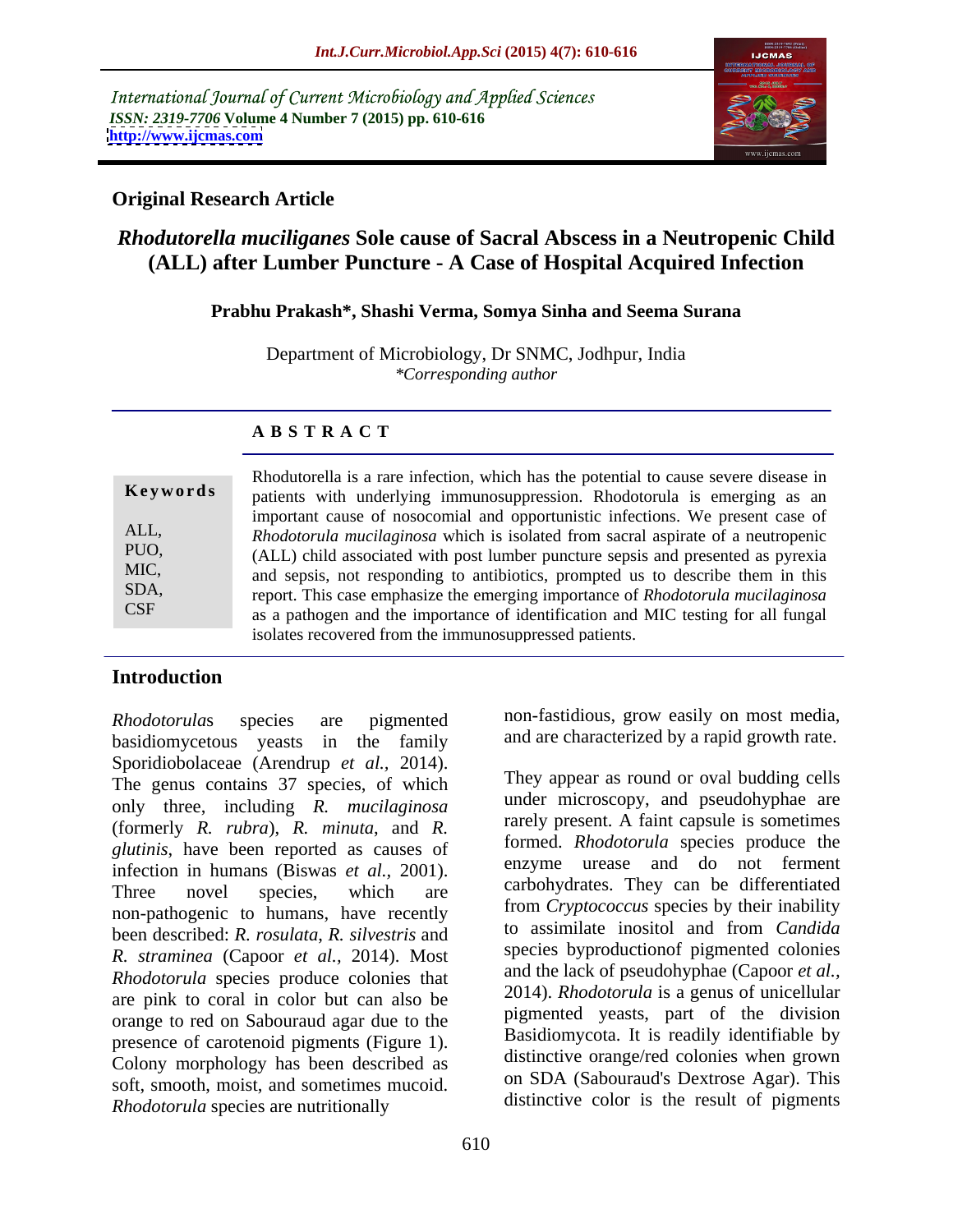International Journal of Current Microbiology and Applied Sciences *ISSN: 2319-7706* **Volume 4 Number 7 (2015) pp. 610-616 <http://www.ijcmas.com>**



# **Original Research Article**

# *Rhodutorella muciliganes* **Sole cause of Sacral Abscess in a Neutropenic Child (ALL) after Lumber Puncture - A Case of Hospital Acquired Infection**

### **Prabhu Prakash\*, Shashi Verma, Somya Sinha and Seema Surana**

Department of Microbiology, Dr SNMC, Jodhpur, India *\*Corresponding author*

### **A B S T R A C T**

Rhodutorella is a rare infection, which has the potential to cause severe disease in **Keywords** patients with underlying immunosuppression. Rhodotorula is emerging as an important cause of nosocomial and opportunistic infections. We present case of *Rhodotorula mucilaginosa* which is isolated from sacral aspirate of a neutropenic ALL, (ALL) child associated with post lumber puncture sepsis and presented as pyrexia PUO, and sepsis, not responding to antibiotics, prompted us to describe them in this MIC, SDA, report. This case emphasize the emerging importance of *Rhodotorula mucilaginosa* as a pathogen and the importance of identification and MIC testing for all fungal isolates recovered from the immunosuppressed patients. CSF

# **Introduction**

basidiomycetous yeasts in the family Sporidiobolaceae (Arendrup *et al.,* 2014). The genus contains 37 species, of which only three, including *R. mucilaginosa* (formerly *R. rubra*), *R. minuta*, and *R. glutinis*, have been reported as causes of infection in humans (Biswas *et al.,* 2001). Three novel species, which are carbonydrates. They can be differentiated non-pathogenic to humans, have recently been described: *R. rosulata*, *R. silvestris* and *R. straminea* (Capoor *et al.,* 2014). Most *Rhodotorula* species produce colonies that are pink to coral in color but can also be orange to red on Sabouraud agar due to the presence of carotenoid pigments (Figure 1). Colony morphology has been described as soft, smooth, moist, and sometimes mucoid. *Rhodotorula* species are nutritionally

*Rhodotorula*s species are pigmented non-fastidious, grow easily on most media, and are characterized by a rapid growth rate.

> They appear as round or oval budding cells under microscopy, and pseudohyphae are rarely present. A faint capsule is sometimes formed. *Rhodotorula* species produce the enzyme urease and do not ferment carbohydrates. They can be differentiated from *Cryptococcus* species by their inability to assimilate inositol and from *Candida*  species byproductionof pigmented colonies and the lack of pseudohyphae (Capoor *et al.,* 2014). *Rhodotorula* is a genus of unicellular pigmented yeasts, part of the division Basidiomycota. It is readily identifiable by distinctive orange/red colonies when grown on SDA (Sabouraud's Dextrose Agar). This distinctive color is the result of pigments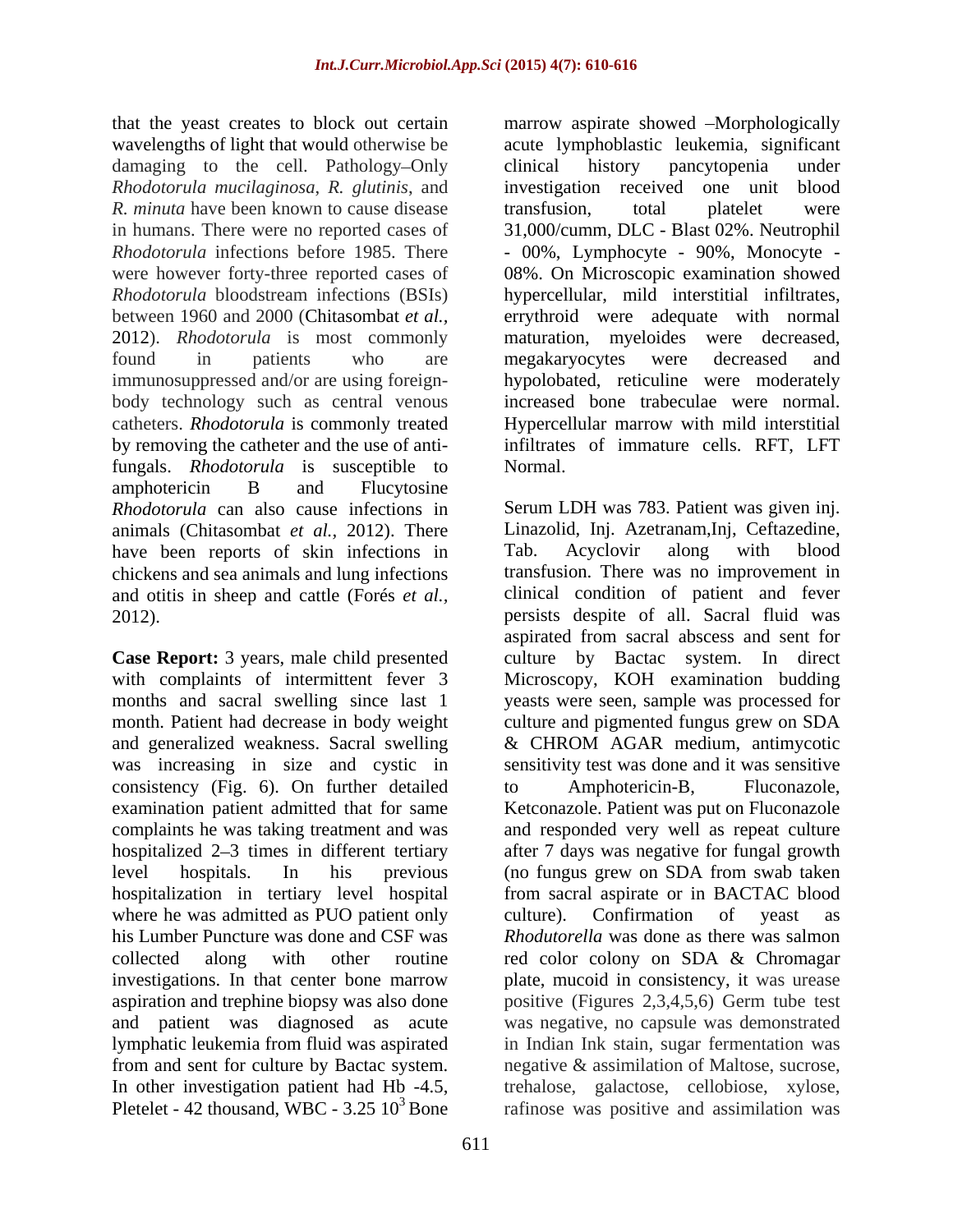damaging to the cell. Pathology-Only clinical history pancytopenia under *Rhodotorula mucilaginosa*, *R. glutinis*, and *R. minuta* have been known to cause disease transfusion. total platelet were in humans. There were no reported cases of 31,000/cumm, DLC - Blast 02%. Neutrophil *Rhodotorula* infections before 1985. There - 00%, Lymphocyte - 90%, Monocyte by removing the catheter and the use of antifungals. *Rhodotorula* is susceptible to amphotericin B and Flucytosine *Rhodotorula* can also cause infections in animals (Chitasombat *et al.,* 2012). There have been reports of skin infections in Tab. Acyclovir along with blood chickens and sea animals and lung infections and otitis in sheep and cattle (Forés *et al.,*

**Case Report:** 3 years, male child presented was increasing in size and cystic in consistency (Fig. 6). On further detailed to Amphotericin-B, Fluconazole, where he was admitted as PUO patient only culture). Confirmation of yeast as from and sent for culture by Bactac system. Inegative & assimilation of Maltose, sucrose, In other investigation patient had Hb -4.5,<br>
Pletelet - 42 thousand WBC -  $3.25 \times 10^3$  Bone<br>
rafinose was positive and assimilation was Pletelet - 42 thousand, WBC -  $3.25 \times 10^3$  Bone rafinose was positive and assimilation was

that the yeast creates to block out certain marrow aspirate showed --Morphologically wavelengths of light that would otherwise be acute lymphoblastic leukemia, significant were however forty-three reported cases of 08%. On Microscopic examination showed *Rhodotorula* bloodstream infections (BSIs) hypercellular, mild interstitial infiltrates, between 1960 and 2000 (Chitasombat *et al.,* errythroid were adequate with normal 2012). *Rhodotorula* is most commonly maturation, myeloides were decreased, found in patients who are megakaryocytes were decreased and immunosuppressed and/or are using foreign- hypolobated, reticuline were moderately body technology such as central venous increased bone trabeculae were normal. catheters. *Rhodotorula* is commonly treated Hypercellular marrow with mild interstitial clinical history pancytopenia under investigation received one unit transfusion, total platelet were 31,000/cumm, DLC - Blast 02%. Neutrophil- 00%, Lymphocyte - 90%, Monocyte megakaryocytes were decreased and infiltrates of immature cells. RFT, LFT Normal.

2012). persists despite of all. Sacral fluid was with complaints of intermittent fever 3 Microscopy, KOH examination budding months and sacral swelling since last 1 yeasts were seen, sample was processed for month. Patient had decrease in body weight culture and pigmented fungus grew on SDA and generalized weakness. Sacral swelling & CHROM AGAR medium, antimycotic examination patient admitted that for same Ketconazole. Patient was put on Fluconazole complaints he was taking treatment and was and responded very well as repeat culture hospitalized 2–3 times in different tertiary after 7 days was negative for fungal growth level hospitals. In his previous (no fungus grew on SDA from swab taken hospitalization in tertiary level hospital from sacral aspirate or in BACTAC blood his Lumber Puncture was done and CSF was *Rhodutorella* was done as there was salmon collected along with other routine red color colony on SDA & Chromagar investigations. In that center bone marrow plate, mucoid in consistency, it was urease aspiration and trephine biopsy was also done positive (Figures 2,3,4,5,6) Germ tube test and patient was diagnosed as acute was negative, no capsule was demonstrated lymphatic leukemia from fluid was aspirated in Indian Ink stain, sugar fermentation was Serum LDH was 783. Patient was given inj. Linazolid, Inj. Azetranam,Inj, Ceftazedine, Tab. Acyclovir along with blood transfusion. There was no improvement in clinical condition of patient and fever aspirated from sacral abscess and sent for culture by Bactac system. In direct sensitivity test was done and it was sensitive to Amphotericin-B, Fluconazole, culture). Confirmation of yeast as negative & assimilation of Maltose, sucrose, trehalose, galactose, cellobiose, xylose,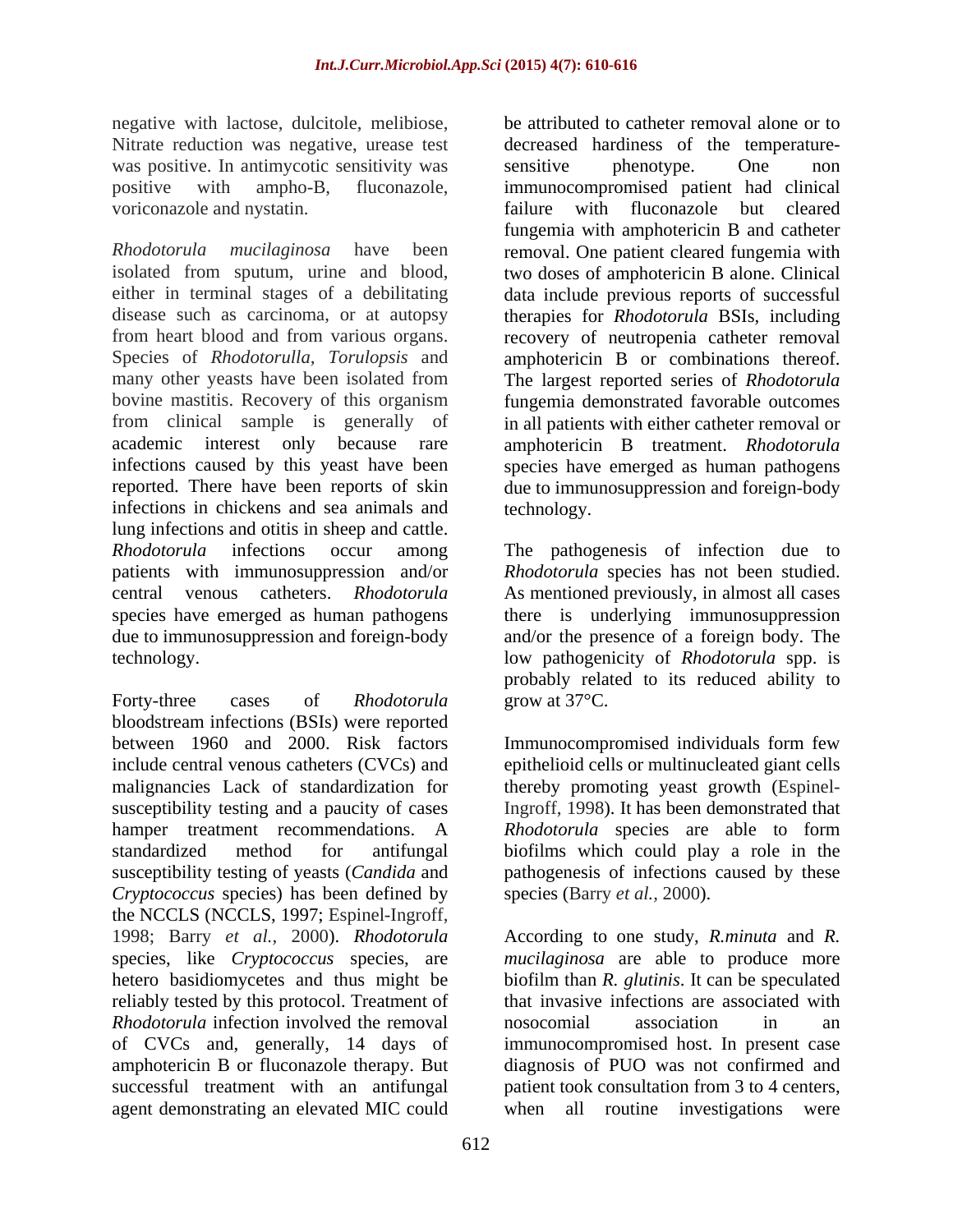negative with lactose, dulcitole, melibiose, Nitrate reduction was negative, urease test decreased hardiness of the temperaturewas positive. In antimycotic sensitivity was sensitive phenotype. One non voriconazole and nystatin. The same status of a status of the status of the status of the status of the status of the status of the status of the status of the status of the status of the status of the status of the status

*Rhodotorula mucilaginosa* have been removal. One patient cleared fungemia with isolated from sputum, urine and blood, either in terminal stages of a debilitating data include previous reports of successful disease such as carcinoma, or at autopsy therapies for *Rhodotorula* BSIs, including from heart blood and from various organs. recovery of neutropenia catheter removal Species of *Rhodotorulla, Torulopsis* and amphotericin B or combinations thereof. many other yeasts have been isolated from The largest reported series of *Rhodotorula* bovine mastitis. Recovery of this organism fungemia demonstrated favorable outcomes from clinical sample is generally of in all patients with either catheter removal or academic interest only because rare amphotericin B treatment. *Rhodotorula* infections caused by this yeast have been species have emerged as human pathogens reported. There have been reports of skin due to immunosuppression and foreign-body infections in chickens and sea animals and lung infections and otitis in sheep and cattle. *Rhodotorula* infections occur among The pathogenesis of infection due to patients with immunosuppression and/or *Rhodotorula* species has not been studied. central venous catheters. *Rhodotorula* As mentioned previously, in almost all cases species have emerged as human pathogens there is underlying immunosuppression due to immunosuppression and foreign-body technology. low pathogenicity of *Rhodotorula* spp. is

Forty-three cases of *Rhodotorula* grow at 37<sup>o</sup>C. bloodstream infections (BSIs) were reported between 1960 and 2000. Risk factors include central venous catheters (CVCs) and epithelioid cells or multinucleated giant cells malignancies Lack of standardization for thereby promoting yeast growth (Espinelsusceptibility testing and a paucity of cases hamper treatment recommendations. A *Rhodotorula* species are able to form standardized method for antifungal biofilms which could play a role in the susceptibility testing of yeasts (*Candida* and pathogenesis of infections caused by these *Cryptococcus* species) has been defined by the NCCLS (NCCLS, 1997; Espinel-Ingroff, reliably tested by this protocol. Treatment of *Rhodotorula* infection involved the removal association in an analyzing in the removal association in an agent demonstrating an elevated MIC could when all routine investigations were

positive with ampho-B, fluconazole, immunocompromised patient had clinical be attributed to catheter removal alone or to decreased hardiness of the temperature-sensitive phenotype. One non failure with fluconazole but cleared fungemia with amphotericin B and catheter two doses of amphotericin B alone. Clinical technology.

> and/or the presence of a foreign body. The probably related to its reduced ability to grow at  $37^{\circ}$ C.

Immunocompromised individuals form few Ingroff, 1998). It has been demonstrated that species (Barry *et al.,* 2000).

1998; Barry *et al.,* 2000). *Rhodotorula* According to one study, *R.minuta* and *R.*  species, like *Cryptococcus* species, are *mucilaginosa* are able to produce more hetero basidiomycetes and thus might be biofilm than *R. glutinis*. It can be speculated of CVCs and, generally, 14 days of immunocompromised host. In present case amphotericin B or fluconazole therapy. But diagnosis of PUO was not confirmed and successful treatment with an antifungal patient took consultation from 3 to 4 centers, that invasive infections are associated with nosocomial association in an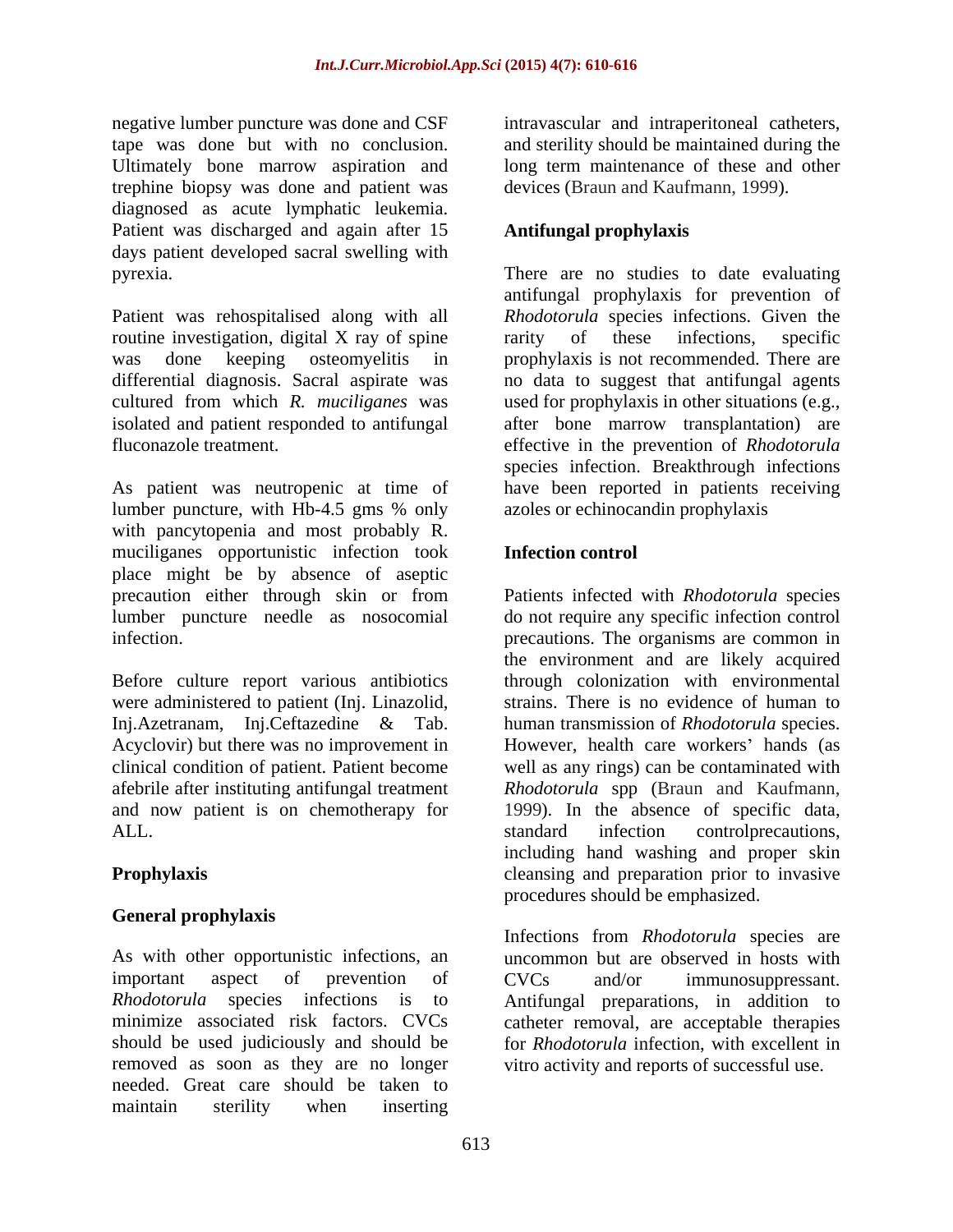negative lumber puncture was done and CSF intravascular and intraperitoneal catheters, tape was done but with no conclusion. and sterility should be maintained during the Ultimately bone marrow aspiration and long term maintenance of these and other trephine biopsy was done and patient was diagnosed as acute lymphatic leukemia. Patient was discharged and again after 15 days patient developed sacral swelling with

Patient was rehospitalised along with all routine investigation, digital X ray of spine rarity of these infections, specific was done keeping osteomyelitis in prophylaxis is not recommended. There are differential diagnosis. Sacral aspirate was no data to suggest that antifungal agents cultured from which *R. muciliganes* was used for prophylaxis in other situations (e.g., isolated and patient responded to antifungal after bone marrow transplantation) are

As patient was neutropenic at time of have been reported in patients receiving lumber puncture, with Hb-4.5 gms % only with pancytopenia and most probably R. muciliganes opportunistic infection took place might be by absence of aseptic precaution either through skin or from lumber puncture needle as nosocomial do not require any specific infection control

Before culture report various antibiotics afebrile after instituting antifungal treatment Rhodotorula spp (Braun and Kaufmann, and now patient is on chemotherapy for 1999). In the absence of specific data, ALL.

# **General prophylaxis**

removed as soon as they are no longer vitro activity and reports of successful use. needed. Great care should be taken to maintain sterility when inserting

and sterility should be maintained during the long term maintenance of these and other devices (Braun and Kaufmann, 1999).

# **Antifungal prophylaxis**

pyrexia. There are no studies to date evaluating fluconazole treatment. effective in the prevention of *Rhodotorula* antifungal prophylaxis for prevention of *Rhodotorula* species infections. Given the rarity of these infections, specific species infection. Breakthrough infections azoles or echinocandin prophylaxis

### **Infection control**

infection. precautions. The organisms are common in were administered to patient (Inj. Linazolid, strains. There is no evidence of human to Inj.Azetranam, Inj.Ceftazedine & Tab. human transmission of *Rhodotorula* species. Acyclovir) but there was no improvement in However, health care workers' hands (as clinical condition of patient. Patient become well as any rings) can be contaminated with **Prophylaxis Prophylaxis Exercise 2.1 and** *Prophylaxis* **Cleansing and preparation prior to invasive** Patients infected with *Rhodotorula* species the environment and are likely acquired through colonization with environmental *Rhodotorula* spp (Braun and Kaufmann, 1999). In the absence of specific data, standard infection controlprecautions, including hand washing and proper skin procedures should be emphasized.

As with other opportunistic infections, an uncommon but are observed in hosts with important aspect of prevention of CVCs and/or immunosuppressant. *Rhodotorula* species infections is to Antifungal preparations, in addition to minimize associated risk factors. CVCs catheter removal, are acceptable therapies should be used judiciously and should be for *Rhodotorula* infection, with excellent in Infections from *Rhodotorula* species are CVCs and/or immunosuppressant.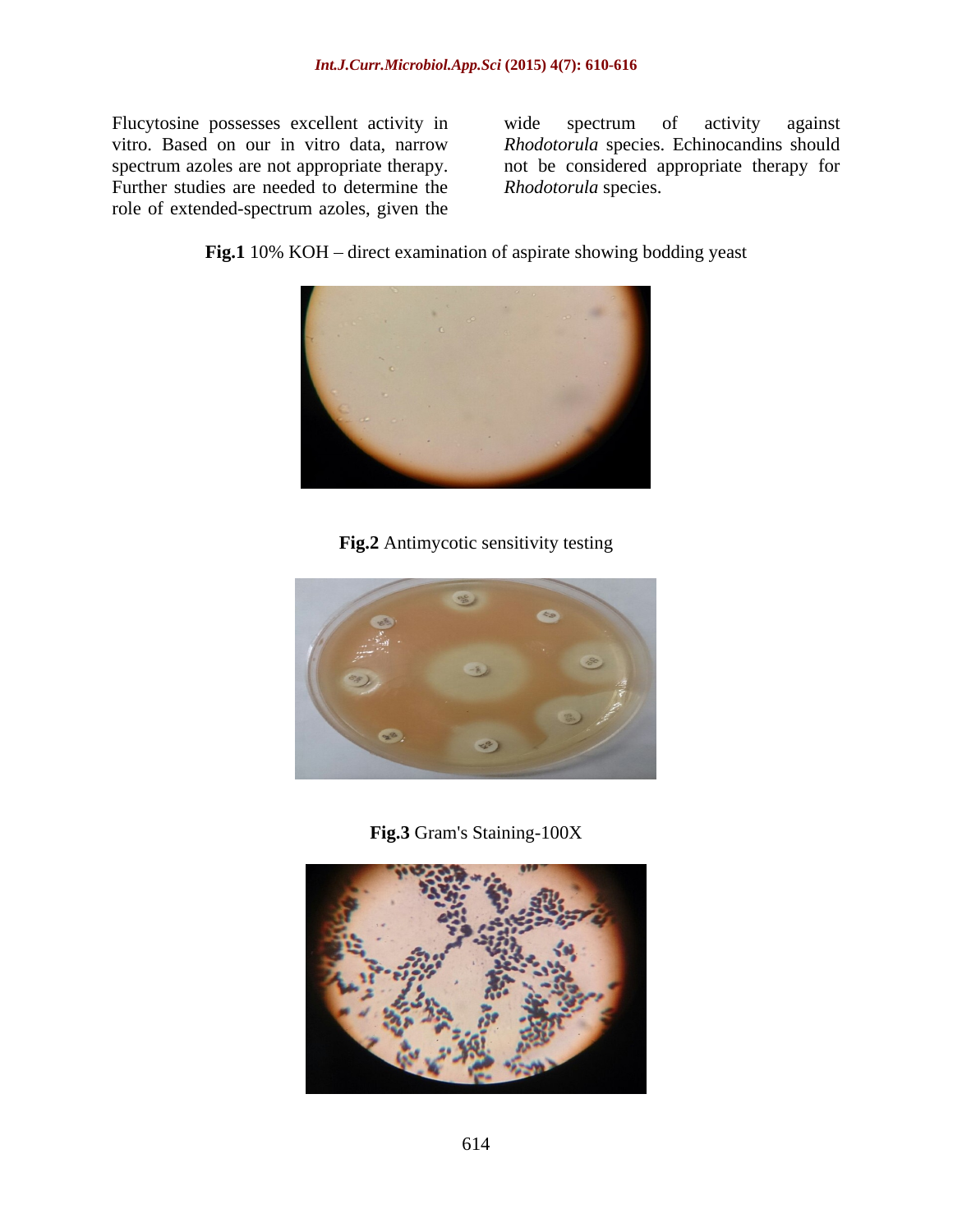Flucytosine possesses excellent activity in wide spectrum of activity against Further studies are needed to determine the role of extended-spectrum azoles, given the

vitro. Based on our in vitro data, narrow *Rhodotorula* species. Echinocandins should spectrum azoles are not appropriate therapy. not be considered appropriate therapy for wide spectrum of activity against *Rhodotorula* species.

**Fig.1** 10% KOH – direct examination of aspirate showing bodding yeast



**Fig.2** Antimycotic sensitivity testing



**Fig.3** Gram's Staining-100X

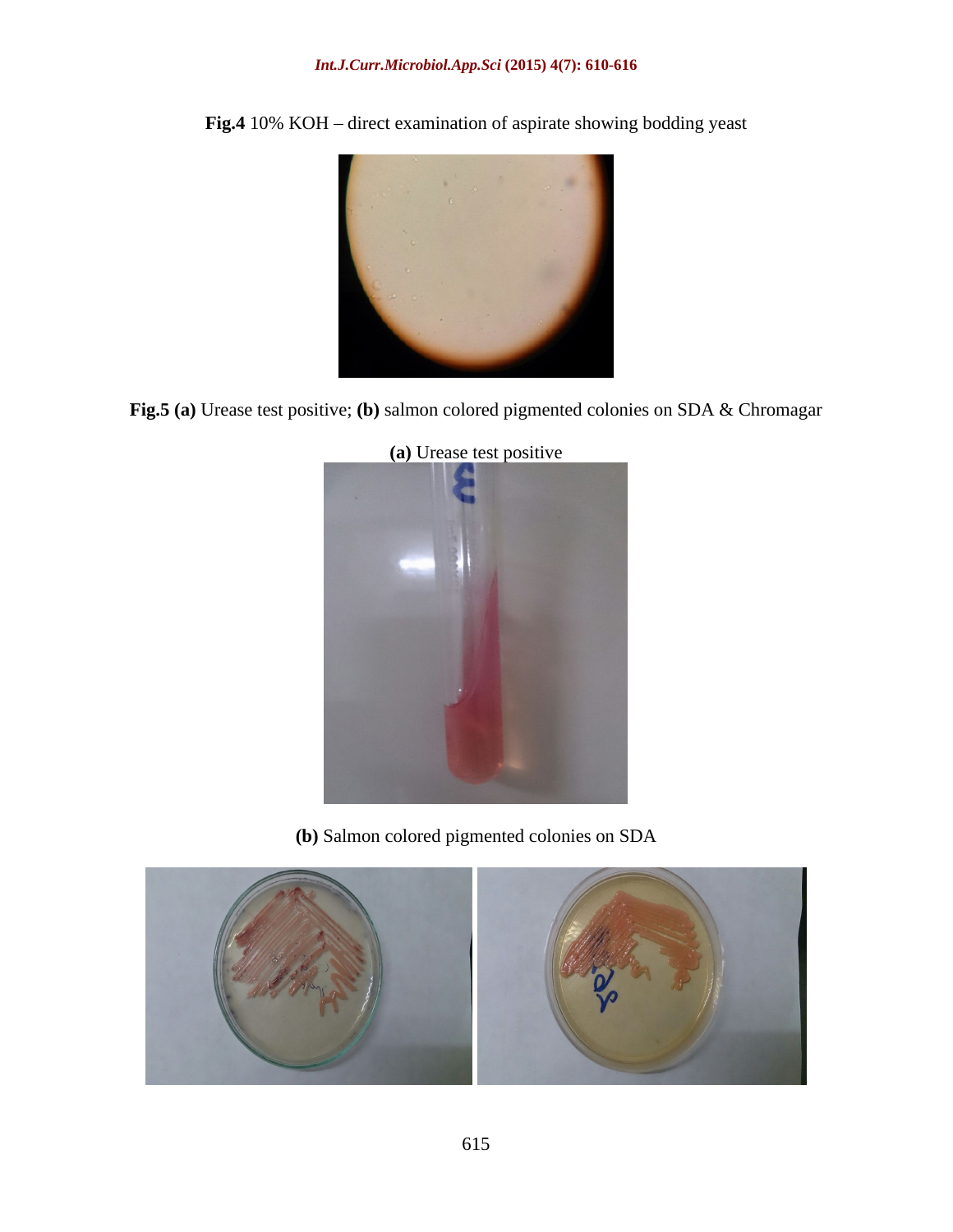#### *Int.J.Curr.Microbiol.App.Sci* **(2015) 4(7): 610-616**



Fig.4 10% KOH – direct examination of aspirate showing bodding yeast

**Fig.5 (a)** Urease test positive; **(b)** salmon colored pigmented colonies on SDA & Chromagar



**(a)** Urease test positive

**(b)** Salmon colored pigmented colonies on SDA